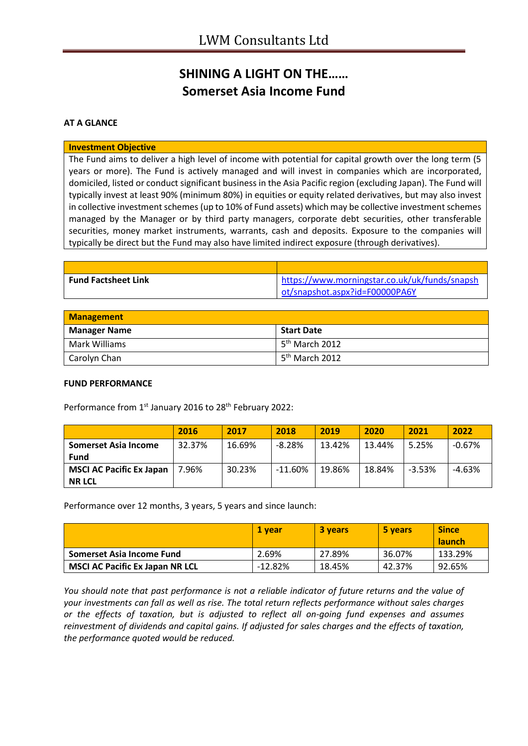## **SHINING A LIGHT ON THE…… Somerset Asia Income Fund**

#### **AT A GLANCE**

#### **Investment Objective**

The Fund aims to deliver a high level of income with potential for capital growth over the long term (5 years or more). The Fund is actively managed and will invest in companies which are incorporated, domiciled, listed or conduct significant business in the Asia Pacific region (excluding Japan). The Fund will typically invest at least 90% (minimum 80%) in equities or equity related derivatives, but may also invest in collective investment schemes (up to 10% of Fund assets) which may be collective investment schemes managed by the Manager or by third party managers, corporate debt securities, other transferable securities, money market instruments, warrants, cash and deposits. Exposure to the companies will typically be direct but the Fund may also have limited indirect exposure (through derivatives).

| <b>Fund Factsheet Link</b> | https://www.morningstar.co.uk/uk/funds/snapsh |
|----------------------------|-----------------------------------------------|
|                            | ot/snapshot.aspx?id=F00000PA6Y                |

| <b>Management</b>    |                              |  |
|----------------------|------------------------------|--|
| <b>Manager Name</b>  | Start Date                   |  |
| <b>Mark Williams</b> | l 5 <sup>th</sup> March 2012 |  |
| Carolyn Chan         | 5 <sup>th</sup> March 2012   |  |

#### **FUND PERFORMANCE**

Performance from 1<sup>st</sup> January 2016 to 28<sup>th</sup> February 2022:

|                                 | 2016   | 2017   | 2018       | 2019   | 2020   | 2021     | 2022     |
|---------------------------------|--------|--------|------------|--------|--------|----------|----------|
| Somerset Asia Income            | 32.37% | 16.69% | $-8.28%$   | 13.42% | 13.44% | 5.25%    | $-0.67%$ |
| <b>Fund</b>                     |        |        |            |        |        |          |          |
| <b>MSCI AC Pacific Ex Japan</b> | 7.96%  | 30.23% | $-11.60\%$ | 19.86% | 18.84% | $-3.53%$ | $-4.63%$ |
| <b>NR LCL</b>                   |        |        |            |        |        |          |          |

Performance over 12 months, 3 years, 5 years and since launch:

|                                        | 1 vear     | <b>3 years</b> | 5 years | <b>Since</b><br><b>launch</b> |
|----------------------------------------|------------|----------------|---------|-------------------------------|
| Somerset Asia Income Fund              | 2.69%      | 27.89%         | 36.07%  | 133.29%                       |
| <b>MSCI AC Pacific Ex Japan NR LCL</b> | $-12.82\%$ | 18.45%         | 42.37%  | 92.65%                        |

*You should note that past performance is not a reliable indicator of future returns and the value of your investments can fall as well as rise. The total return reflects performance without sales charges or the effects of taxation, but is adjusted to reflect all on-going fund expenses and assumes reinvestment of dividends and capital gains. If adjusted for sales charges and the effects of taxation, the performance quoted would be reduced.*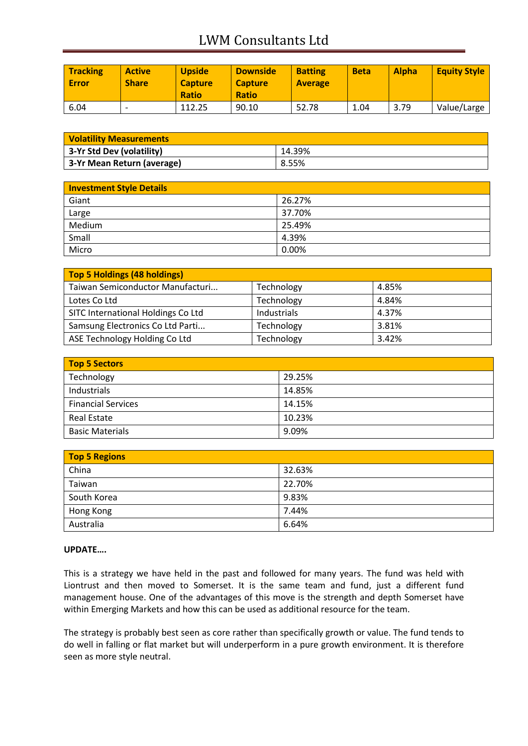# LWM Consultants Ltd

| <b>Tracking</b><br><b>Error</b> | <b>Active</b><br><b>Share</b> | <b>Upside</b><br><b>Capture</b><br><b>Ratio</b> | <b>Downside</b><br><b>Capture</b><br><b>Ratio</b> | <b>Batting</b><br><b>Average</b> | <b>Beta</b> | <b>Alpha</b> | <b>Equity Style</b> |
|---------------------------------|-------------------------------|-------------------------------------------------|---------------------------------------------------|----------------------------------|-------------|--------------|---------------------|
| 6.04                            |                               | 112.25                                          | 90.10                                             | 52.78                            | 1.04        | 3.79         | Value/Large         |

| <b>Volatility Measurements</b> |        |  |
|--------------------------------|--------|--|
| 3-Yr Std Dev (volatility)      | 14.39% |  |
| 3-Yr Mean Return (average)     | 8.55%  |  |

| <b>Investment Style Details</b> |        |
|---------------------------------|--------|
| Giant                           | 26.27% |
| Large                           | 37.70% |
| Medium                          | 25.49% |
| Small                           | 4.39%  |
| Micro                           | 0.00%  |

| Top 5 Holdings (48 holdings)       |             |       |
|------------------------------------|-------------|-------|
| Taiwan Semiconductor Manufacturi   | Technology  | 4.85% |
| Lotes Co Ltd                       | Technology  | 4.84% |
| SITC International Holdings Co Ltd | Industrials | 4.37% |
| Samsung Electronics Co Ltd Parti   | Technology  | 3.81% |
| ASE Technology Holding Co Ltd      | Technology  | 3.42% |

| Top 5 Sectors             |        |  |
|---------------------------|--------|--|
| Technology                | 29.25% |  |
| Industrials               | 14.85% |  |
| <b>Financial Services</b> | 14.15% |  |
| <b>Real Estate</b>        | 10.23% |  |
| <b>Basic Materials</b>    | 9.09%  |  |

| <b>Top 5 Regions</b> |        |  |
|----------------------|--------|--|
| China                | 32.63% |  |
| Taiwan               | 22.70% |  |
| South Korea          | 9.83%  |  |
| Hong Kong            | 7.44%  |  |
| Australia            | 6.64%  |  |

### **UPDATE….**

This is a strategy we have held in the past and followed for many years. The fund was held with Liontrust and then moved to Somerset. It is the same team and fund, just a different fund management house. One of the advantages of this move is the strength and depth Somerset have within Emerging Markets and how this can be used as additional resource for the team.

The strategy is probably best seen as core rather than specifically growth or value. The fund tends to do well in falling or flat market but will underperform in a pure growth environment. It is therefore seen as more style neutral.